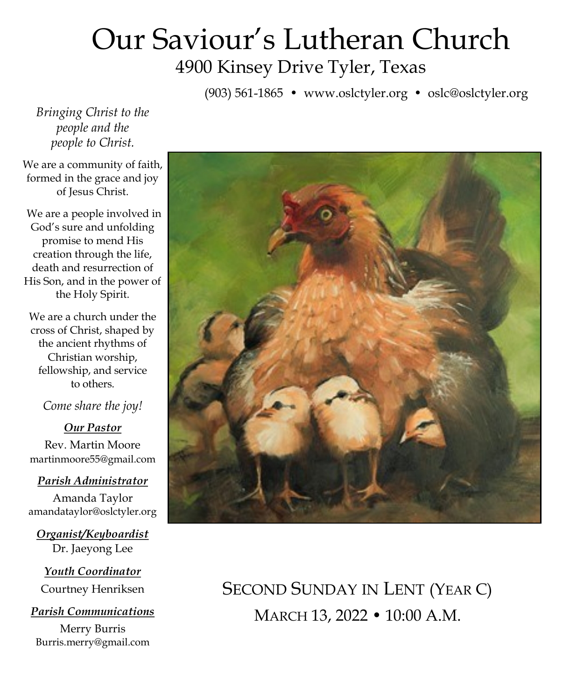# Our Saviour's Lutheran Church 4900 Kinsey Drive Tyler, Texas

(903) 561-1865 • www.oslctyler.org • oslc@oslctyler.org

*Bringing Christ to the people and the people to Christ.*

We are a community of faith, formed in the grace and joy of Jesus Christ.

We are a people involved in God's sure and unfolding promise to mend His creation through the life, death and resurrection of His Son, and in the power of the Holy Spirit.

We are a church under the cross of Christ, shaped by the ancient rhythms of Christian worship, fellowship, and service to others.

*Come share the joy!*

*Our Pastor* Rev. Martin Moore martinmoore55@gmail.com

#### *Parish Administrator*

Amanda Taylor amandataylor@oslctyler.org

*Organist/Keyboardist* Dr. Jaeyong Lee

*Youth Coordinator* Courtney Henriksen

*Parish Communications* Merry Burris Burris.merry@gmail.com



# SECOND SUNDAY IN LENT (YEAR C) MARCH 13, 2022 • 10:00 A.M.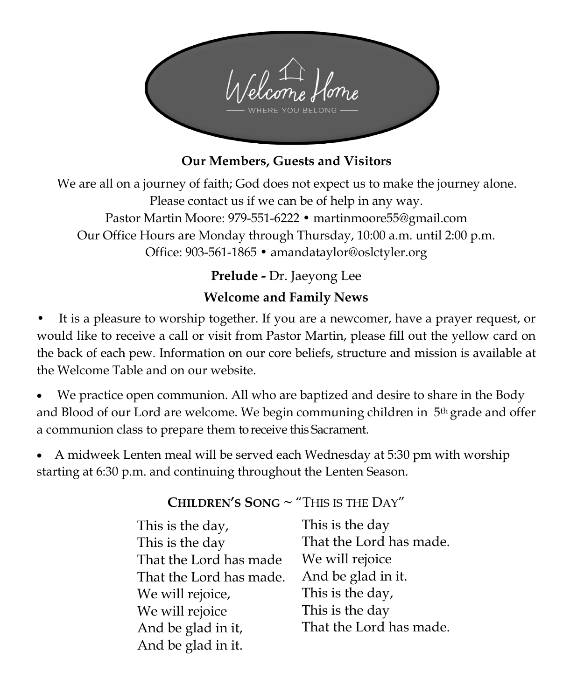

### **Our Members, Guests and Visitors**

We are all on a journey of faith; God does not expect us to make the journey alone. Please contact us if we can be of help in any way. Pastor Martin Moore: 979-551-6222 • martinmoore55@gmail.com Our Office Hours are Monday through Thursday, 10:00 a.m. until 2:00 p.m. Office: 903-561-1865 • amandataylor@oslctyler.org

# **Prelude -** Dr. Jaeyong Lee

## **Welcome and Family News**

It is a pleasure to worship together. If you are a newcomer, have a prayer request, or would like to receive a call or visit from Pastor Martin, please fill out the yellow card on the back of each pew. Information on our core beliefs, structure and mission is available at the Welcome Table and on our website.

• We practice open communion. All who are baptized and desire to share in the Body and Blood of our Lord are welcome. We begin communing children in 5th grade and offer a communion class to prepare them to receive this Sacrament.

• A midweek Lenten meal will be served each Wednesday at 5:30 pm with worship starting at 6:30 p.m. and continuing throughout the Lenten Season.

## **CHILDREN'S SONG ~** "THIS IS THE DAY"

| This is the day,        | This is the day         |
|-------------------------|-------------------------|
| This is the day         | That the Lord has made. |
| That the Lord has made  | We will rejoice         |
| That the Lord has made. | And be glad in it.      |
| We will rejoice,        | This is the day,        |
| We will rejoice         | This is the day         |
| And be glad in it,      | That the Lord has made. |
| And be glad in it.      |                         |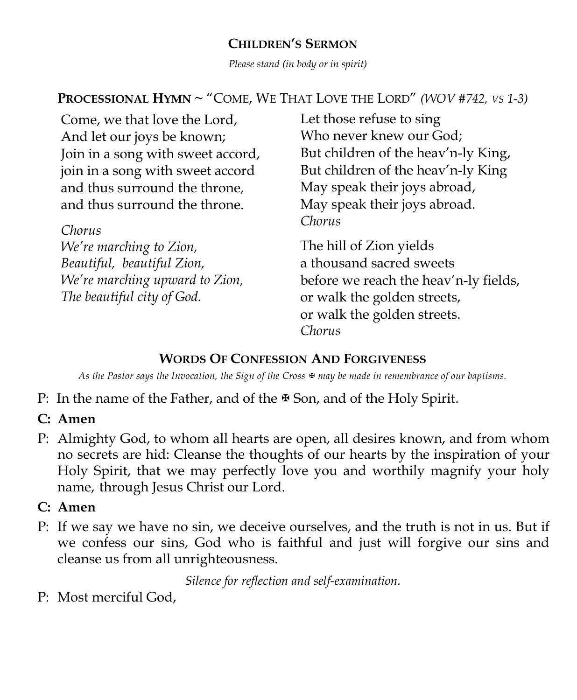### **CHILDREN'S SERMON**

*Please stand (in body or in spirit)*

### **PROCESSIONAL HYMN ~** "COME, WE THAT LOVE THE LORD" *(WOV #742, VS 1-3)*

Come, we that love the Lord, And let our joys be known; Join in a song with sweet accord, join in a song with sweet accord and thus surround the throne, and thus surround the throne.

*Chorus We're marching to Zion, Beautiful, beautiful Zion, We're marching upward to Zion, The beautiful city of God.*

Let those refuse to sing Who never knew our God; But children of the heav'n-ly King, But children of the heav'n-ly King May speak their joys abroad, May speak their joys abroad. *Chorus*

The hill of Zion yields a thousand sacred sweets before we reach the heav'n-ly fields, or walk the golden streets, or walk the golden streets. *Chorus*

### **WORDS OF CONFESSION AND FORGIVENESS**

*As the Pastor says the Invocation, the Sign of the Cross may be made in remembrance of our baptisms.* 

P: In the name of the Father, and of the <sup>₩</sup> Son, and of the Holy Spirit.

### **C: Amen**

P: Almighty God, to whom all hearts are open, all desires known, and from whom no secrets are hid: Cleanse the thoughts of our hearts by the inspiration of your Holy Spirit, that we may perfectly love you and worthily magnify your holy name, through Jesus Christ our Lord.

### **C: Amen**

P: If we say we have no sin, we deceive ourselves, and the truth is not in us. But if we confess our sins, God who is faithful and just will forgive our sins and cleanse us from all unrighteousness.

*Silence for reflection and self-examination.*

P: Most merciful God,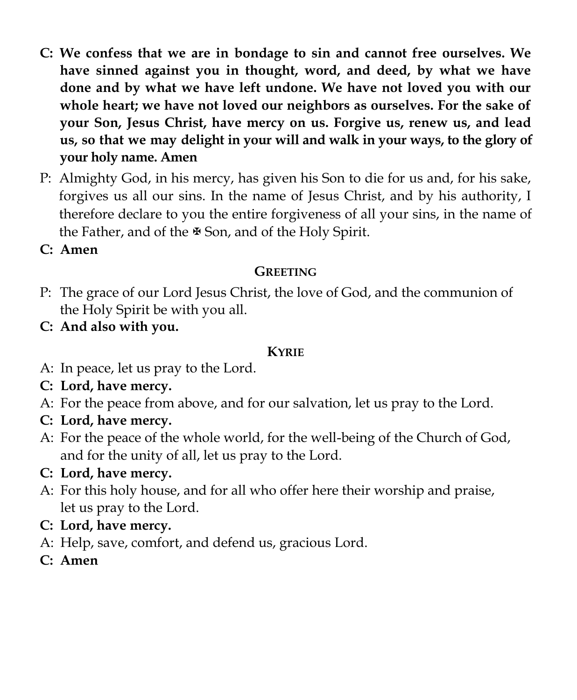- **C: We confess that we are in bondage to sin and cannot free ourselves. We have sinned against you in thought, word, and deed, by what we have done and by what we have left undone. We have not loved you with our whole heart; we have not loved our neighbors as ourselves. For the sake of your Son, Jesus Christ, have mercy on us. Forgive us, renew us, and lead us, so that we may delight in your will and walk in your ways, to the glory of your holy name. Amen**
- P: Almighty God, in his mercy, has given his Son to die for us and, for his sake, forgives us all our sins. In the name of Jesus Christ, and by his authority, I therefore declare to you the entire forgiveness of all your sins, in the name of the Father, and of the  $\mathbb F$  Son, and of the Holy Spirit.

**C: Amen**

### **GREETING**

- P: The grace of our Lord Jesus Christ, the love of God, and the communion of the Holy Spirit be with you all.
- **C: And also with you.**

### **KYRIE**

- A: In peace, let us pray to the Lord.
- **C: Lord, have mercy.**
- A: For the peace from above, and for our salvation, let us pray to the Lord.
- **C: Lord, have mercy.**
- A: For the peace of the whole world, for the well-being of the Church of God, and for the unity of all, let us pray to the Lord.

# **C: Lord, have mercy.**

- A: For this holy house, and for all who offer here their worship and praise, let us pray to the Lord.
- **C: Lord, have mercy.**
- A: Help, save, comfort, and defend us, gracious Lord.
- **C: Amen**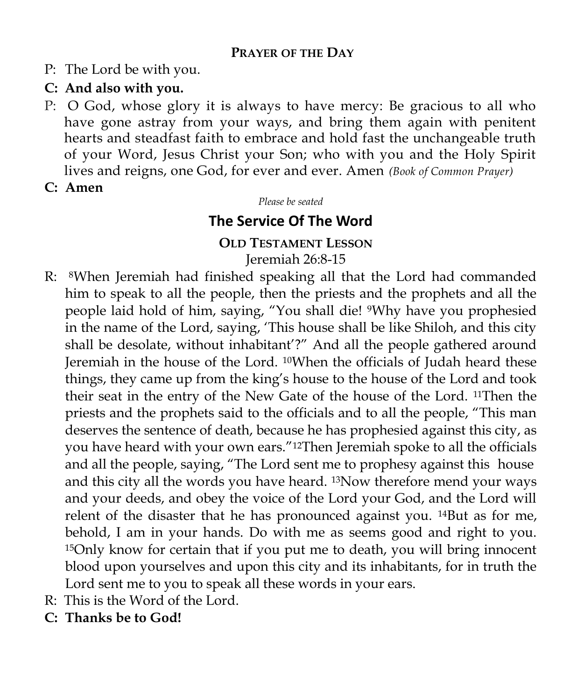#### **PRAYER OF THE DAY**

P: The Lord be with you.

### **C: And also with you.**

P: O God, whose glory it is always to have mercy: Be gracious to all who have gone astray from your ways, and bring them again with penitent hearts and steadfast faith to embrace and hold fast the unchangeable truth of your Word, Jesus Christ your Son; who with you and the Holy Spirit lives and reigns, one God, for ever and ever. Amen *(Book of Common Prayer)*

### **C: Amen**

*Please be seated*

# **The Service Of The Word**

**OLD TESTAMENT LESSON**

Jeremiah 26:8-15

- R: 8When Jeremiah had finished speaking all that the Lord had commanded him to speak to all the people, then the priests and the prophets and all the people laid hold of him, saying, "You shall die! 9Why have you prophesied in the name of the Lord, saying, 'This house shall be like Shiloh, and this city shall be desolate, without inhabitant'?" And all the people gathered around Jeremiah in the house of the Lord. 10When the officials of Judah heard these things, they came up from the king's house to the house of the Lord and took their seat in the entry of the New Gate of the house of the Lord. 11Then the priests and the prophets said to the officials and to all the people, "This man deserves the sentence of death, because he has prophesied against this city, as you have heard with your own ears."12Then Jeremiah spoke to all the officials and all the people, saying, "The Lord sent me to prophesy against this house and this city all the words you have heard. 13Now therefore mend your ways and your deeds, and obey the voice of the Lord your God, and the Lord will relent of the disaster that he has pronounced against you. 14But as for me, behold, I am in your hands. Do with me as seems good and right to you. <sup>15</sup>Only know for certain that if you put me to death, you will bring innocent blood upon yourselves and upon this city and its inhabitants, for in truth the Lord sent me to you to speak all these words in your ears.
- R: This is the Word of the Lord.
- **C: Thanks be to God!**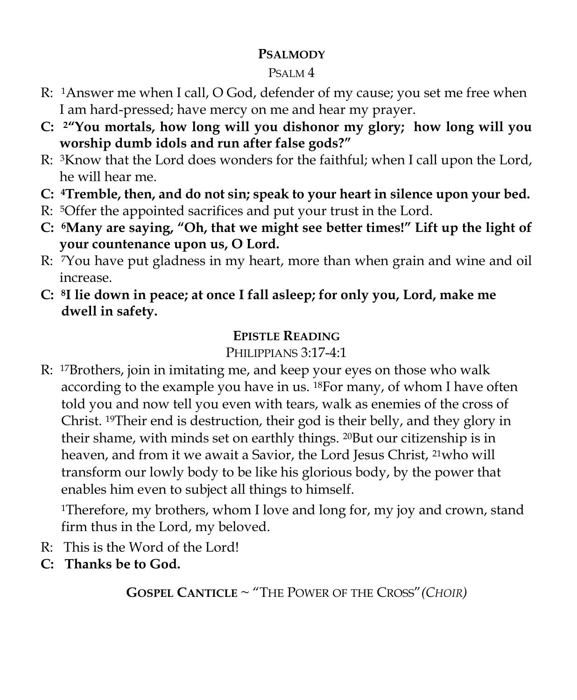### **PSALMODY**

### PSALM 4

- R: <sup>1</sup>Answer me when I call, O God, defender of my cause; you set me free when I am hard-pressed; have mercy on me and hear my prayer.
- **C: 2"You mortals, how long will you dishonor my glory; how long will you worship dumb idols and run after false gods?"**
- R: 3Know that the Lord does wonders for the faithful; when I call upon the Lord, he will hear me.
- **C: 4Tremble, then, and do not sin; speak to your heart in silence upon your bed.**
- R: 5Offer the appointed sacrifices and put your trust in the Lord.
- **C: 6Many are saying, "Oh, that we might see better times!" Lift up the light of your countenance upon us, O Lord.**
- R: 7You have put gladness in my heart, more than when grain and wine and oil increase.
- **C: <sup>8</sup>I lie down in peace; at once I fall asleep; for only you, Lord, make me dwell in safety.**

# **EPISTLE READING**

# PHILIPPIANS 3.17-4.1

R: 17Brothers, join in imitating me, and keep your eyes on those who walk according to the example you have in us. 18For many, of whom I have often told you and now tell you even with tears, walk as enemies of the cross of Christ. 19Their end is destruction, their god is their belly, and they glory in their shame, with minds set on earthly things. 20But our citizenship is in heaven, and from it we await a Savior, the Lord Jesus Christ, 21who will transform our lowly body to be like his glorious body, by the power that enables him even to subject all things to himself.

<sup>1</sup>Therefore, my brothers, whom I love and long for, my joy and crown, stand firm thus in the Lord, my beloved.

- R: This is the Word of the Lord!
- **C: Thanks be to God.**

**GOSPEL CANTICLE** ~ "THE POWER OF THE CROSS"*(CHOIR)*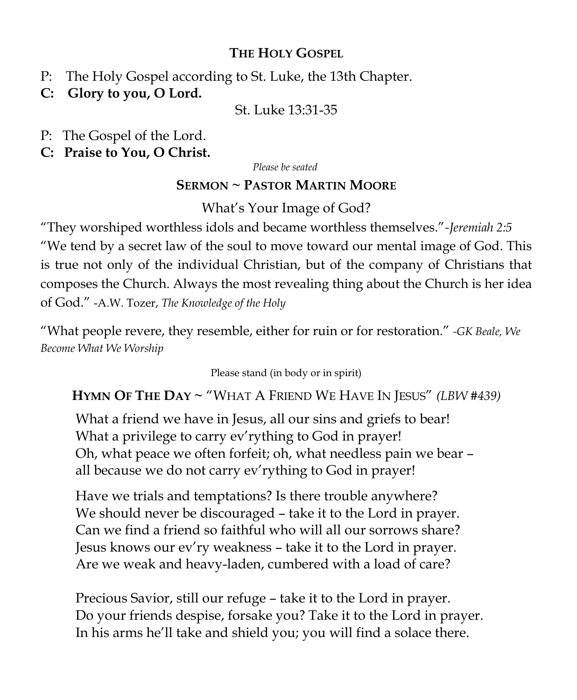### **THE HOLY GOSPEL**

- P: The Holy Gospel according to St. Luke, the 13th Chapter.
- **C: Glory to you, O Lord.**

St. Luke 13:31-35

- P: The Gospel of the Lord.
- **C: Praise to You, O Christ.**

*Please be seated*

### **SERMON ~ PASTOR MARTIN MOORE**

What's Your Image of God?

"They worshiped worthless idols and became worthless themselves."*-Jeremiah 2:5*  "We tend by a secret law of the soul to move toward our mental image of God. This is true not only of the individual Christian, but of the company of Christians that composes the Church. Always the most revealing thing about the Church is her idea of God." -A.W. Tozer, *The Knowledge of the Holy*

"What people revere, they resemble, either for ruin or for restoration." *-GK Beale, We Become What We Worship*

Please stand (in body or in spirit)

### **HYMN OF THE DAY ~** "WHAT A FRIEND WE HAVE IN JESUS" *(LBW #439)*

What a friend we have in Jesus, all our sins and griefs to bear! What a privilege to carry ev'rything to God in prayer! Oh, what peace we often forfeit; oh, what needless pain we bear – all because we do not carry ev'rything to God in prayer!

Have we trials and temptations? Is there trouble anywhere? We should never be discouraged – take it to the Lord in prayer. Can we find a friend so faithful who will all our sorrows share? Jesus knows our ev'ry weakness – take it to the Lord in prayer. Are we weak and heavy-laden, cumbered with a load of care?

Precious Savior, still our refuge – take it to the Lord in prayer. Do your friends despise, forsake you? Take it to the Lord in prayer. In his arms he'll take and shield you; you will find a solace there.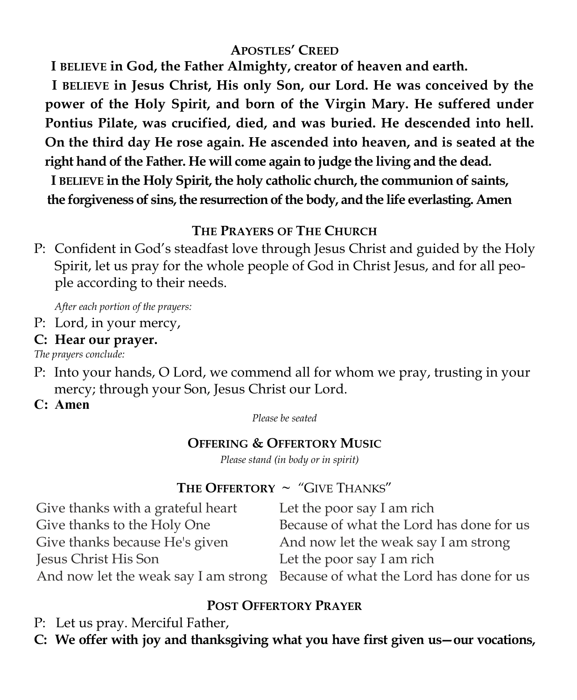### **APOSTLES' CREED**

 **I BELIEVE in God, the Father Almighty, creator of heaven and earth.**

 **I BELIEVE in Jesus Christ, His only Son, our Lord. He was conceived by the power of the Holy Spirit, and born of the Virgin Mary. He suffered under Pontius Pilate, was crucified, died, and was buried. He descended into hell. On the third day He rose again. He ascended into heaven, and is seated at the right hand of the Father. He will come again to judge the living and the dead.**

 **I BELIEVE in the Holy Spirit, the holy catholic church, the communion of saints, the forgiveness of sins, the resurrection of the body, and the life everlasting. Amen**

### **THE PRAYERS OF THE CHURCH**

P: Confident in God's steadfast love through Jesus Christ and guided by the Holy Spirit, let us pray for the whole people of God in Christ Jesus, and for all people according to their needs.

*After each portion of the prayers:*

P: Lord, in your mercy,

### **C: Hear our prayer.**

*The prayers conclude:*

P: Into your hands, O Lord, we commend all for whom we pray, trusting in your mercy; through your Son, Jesus Christ our Lord.

**C: Amen**

*Please be seated*

### **OFFERING & OFFERTORY MUSIC**

*Please stand (in body or in spirit)*

## **THE OFFERTORY** *~ "*GIVE THANKS"

| Give thanks with a grateful heart | Let the poor say I am rich                                                    |
|-----------------------------------|-------------------------------------------------------------------------------|
| Give thanks to the Holy One       | Because of what the Lord has done for us                                      |
| Give thanks because He's given    | And now let the weak say I am strong                                          |
| Jesus Christ His Son              | Let the poor say I am rich                                                    |
|                                   | And now let the weak say I am strong Because of what the Lord has done for us |

## **POST OFFERTORY PRAYER**

- P: Let us pray. Merciful Father,
- **C: We offer with joy and thanksgiving what you have first given us—our vocations,**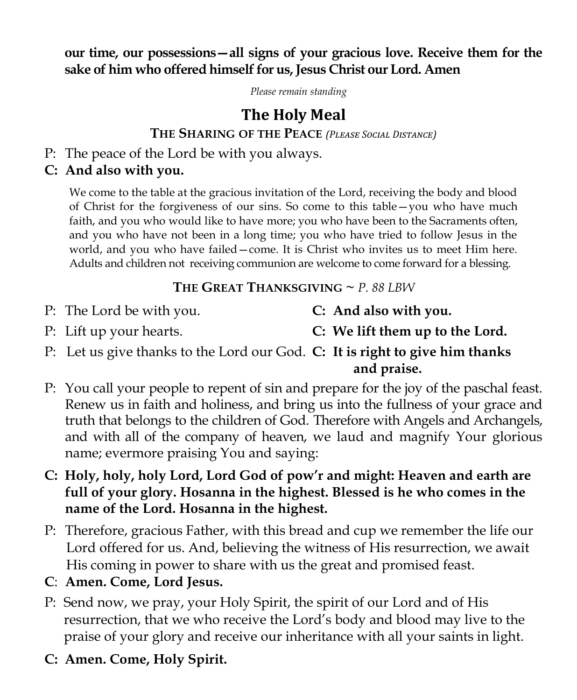**our time, our possessions—all signs of your gracious love. Receive them for the sake of him who offered himself for us, Jesus Christ our Lord. Amen**

*Please remain standing* 

# **The Holy Meal**

### **THE SHARING OF THE PEACE** *(Please Social Distance)*

- P: The peace of the Lord be with you always.
- **C: And also with you.**

We come to the table at the gracious invitation of the Lord, receiving the body and blood of Christ for the forgiveness of our sins. So come to this table—you who have much faith, and you who would like to have more; you who have been to the Sacraments often, and you who have not been in a long time; you who have tried to follow Jesus in the world, and you who have failed—come. It is Christ who invites us to meet Him here. Adults and children not receiving communion are welcome to come forward for a blessing.

### **THE GREAT THANKSGIVING**  $\sim$  *P. 88 LBW*

- P: The Lord be with you. **C: And also with you.**
	-

- 
- P: Lift up your hearts. **C: We lift them up to the Lord.**
- P: Let us give thanks to the Lord our God. **C: It is right to give him thanks and praise.**
- P: You call your people to repent of sin and prepare for the joy of the paschal feast. Renew us in faith and holiness, and bring us into the fullness of your grace and truth that belongs to the children of God. Therefore with Angels and Archangels, and with all of the company of heaven, we laud and magnify Your glorious name; evermore praising You and saying:
- **C: Holy, holy, holy Lord, Lord God of pow'r and might: Heaven and earth are full of your glory. Hosanna in the highest. Blessed is he who comes in the name of the Lord. Hosanna in the highest.**
- P: Therefore, gracious Father, with this bread and cup we remember the life our Lord offered for us. And, believing the witness of His resurrection, we await His coming in power to share with us the great and promised feast.
- **C**: **Amen. Come, Lord Jesus.**
- P: Send now, we pray, your Holy Spirit, the spirit of our Lord and of His resurrection, that we who receive the Lord's body and blood may live to the praise of your glory and receive our inheritance with all your saints in light.
- **C: Amen. Come, Holy Spirit.**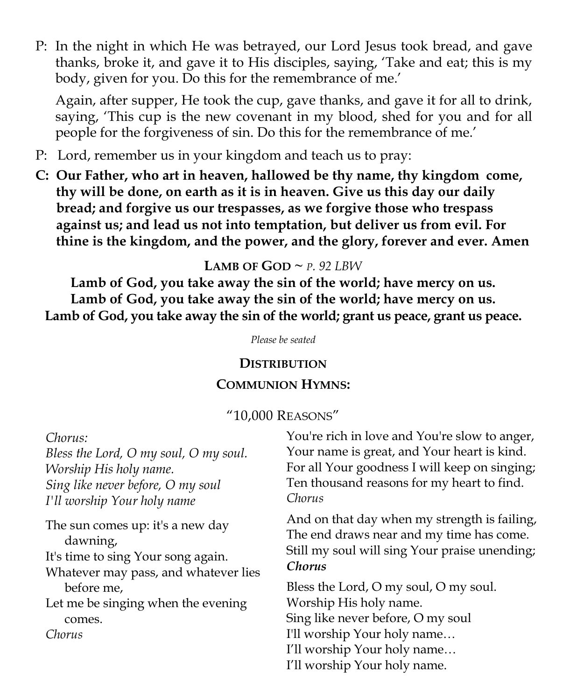P: In the night in which He was betrayed, our Lord Jesus took bread, and gave thanks, broke it, and gave it to His disciples, saying, 'Take and eat; this is my body, given for you. Do this for the remembrance of me.'

Again, after supper, He took the cup, gave thanks, and gave it for all to drink, saying, 'This cup is the new covenant in my blood, shed for you and for all people for the forgiveness of sin. Do this for the remembrance of me.'

- P: Lord, remember us in your kingdom and teach us to pray:
- **C: Our Father, who art in heaven, hallowed be thy name, thy kingdom come, thy will be done, on earth as it is in heaven. Give us this day our daily bread; and forgive us our trespasses, as we forgive those who trespass against us; and lead us not into temptation, but deliver us from evil. For thine is the kingdom, and the power, and the glory, forever and ever. Amen**

### LAMB OF  $G$ OD  $\sim$  *P<sub>.</sub> 92 LBW*

**Lamb of God, you take away the sin of the world; have mercy on us. Lamb of God, you take away the sin of the world; have mercy on us. Lamb of God, you take away the sin of the world; grant us peace, grant us peace.**

*Please be seated*

#### **DISTRIBUTION**

#### **COMMUNION HYMNS:**

#### "10,000 REASONS"

| Chorus:                                                                                                                    | You're rich in love and You're slow to anger,                                                                                                       |
|----------------------------------------------------------------------------------------------------------------------------|-----------------------------------------------------------------------------------------------------------------------------------------------------|
| Bless the Lord, O my soul, O my soul.                                                                                      | Your name is great, and Your heart is kind.                                                                                                         |
| Worship His holy name.                                                                                                     | For all Your goodness I will keep on singing;                                                                                                       |
| Sing like never before, O my soul                                                                                          | Ten thousand reasons for my heart to find.                                                                                                          |
| I'll worship Your holy name                                                                                                | Chorus                                                                                                                                              |
| The sun comes up: it's a new day<br>dawning,<br>It's time to sing Your song again.<br>Whatever may pass, and whatever lies | And on that day when my strength is failing,<br>The end draws near and my time has come.<br>Still my soul will sing Your praise unending;<br>Chorus |
| before me,                                                                                                                 | Bless the Lord, O my soul, O my soul.                                                                                                               |
| Let me be singing when the evening                                                                                         | Worship His holy name.                                                                                                                              |
| comes.                                                                                                                     | Sing like never before, O my soul                                                                                                                   |
| Chorus                                                                                                                     | I'll worship Your holy name                                                                                                                         |
|                                                                                                                            | I'll worship Your holy name                                                                                                                         |
|                                                                                                                            | I'll worship Your holy name.                                                                                                                        |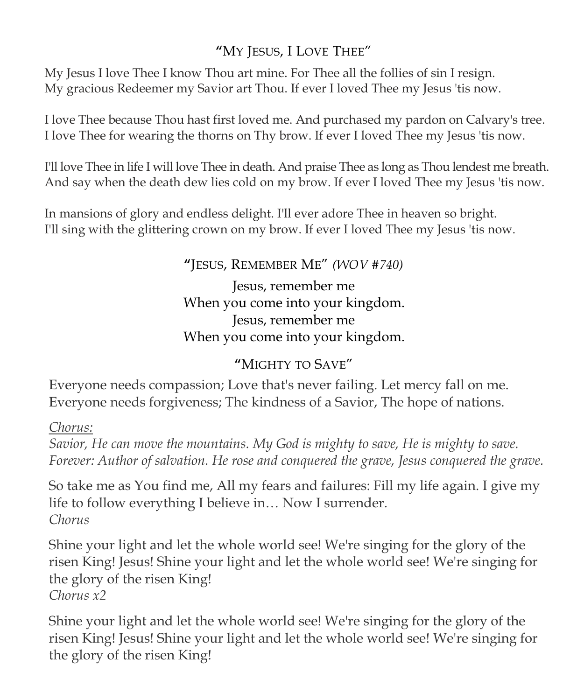# **"**MY JESUS, I LOVE THEE"

My Jesus I love Thee I know Thou art mine. For Thee all the follies of sin I resign. My gracious Redeemer my Savior art Thou. If ever I loved Thee my Jesus 'tis now.

I love Thee because Thou hast first loved me. And purchased my pardon on Calvary's tree. I love Thee for wearing the thorns on Thy brow. If ever I loved Thee my Jesus 'tis now.

I'll love Thee in life I will love Thee in death. And praise Thee as long as Thou lendest me breath. And say when the death dew lies cold on my brow. If ever I loved Thee my Jesus 'tis now.

In mansions of glory and endless delight. I'll ever adore Thee in heaven so bright. I'll sing with the glittering crown on my brow. If ever I loved Thee my Jesus 'tis now.

**"**JESUS, REMEMBER ME" *(WOV #740)*

Jesus, remember me When you come into your kingdom. Jesus, remember me When you come into your kingdom.

# **"**MIGHTY TO SAVE"

Everyone needs compassion; Love that's never failing. Let mercy fall on me. Everyone needs forgiveness; The kindness of a Savior, The hope of nations.

*Chorus:*

*Savior, He can move the mountains. My God is mighty to save, He is mighty to save. Forever: Author of salvation. He rose and conquered the grave, Jesus conquered the grave.*

So take me as You find me, All my fears and failures: Fill my life again. I give my life to follow everything I believe in… Now I surrender. *Chorus*

Shine your light and let the whole world see! We're singing for the glory of the risen King! Jesus! Shine your light and let the whole world see! We're singing for the glory of the risen King! *Chorus x2*

Shine your light and let the whole world see! We're singing for the glory of the risen King! Jesus! Shine your light and let the whole world see! We're singing for the glory of the risen King!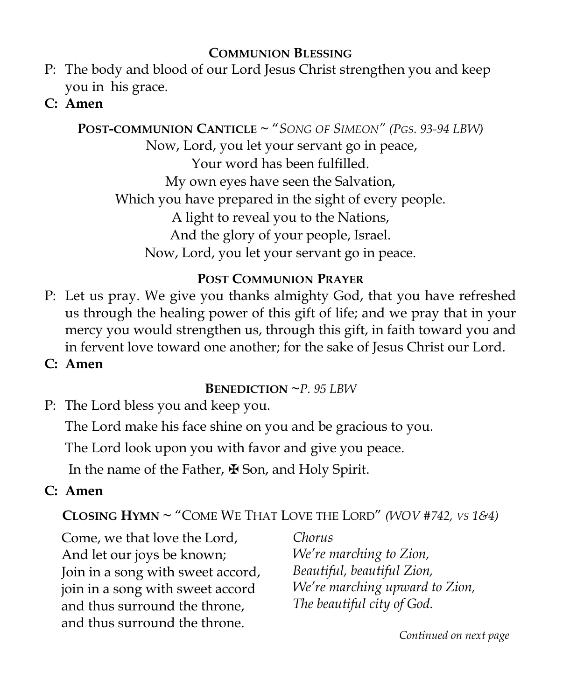### **COMMUNION BLESSING**

- P: The body and blood of our Lord Jesus Christ strengthen you and keep you in his grace.
- **C: Amen**

**POST-COMMUNION CANTICLE ~** "*SONG OF SIMEON" (PGS. 93-94 LBW)*  Now, Lord, you let your servant go in peace, Your word has been fulfilled. My own eyes have seen the Salvation, Which you have prepared in the sight of every people. A light to reveal you to the Nations, And the glory of your people, Israel. Now, Lord, you let your servant go in peace.

### **POST COMMUNION PRAYER**

- P: Let us pray. We give you thanks almighty God, that you have refreshed us through the healing power of this gift of life; and we pray that in your mercy you would strengthen us, through this gift, in faith toward you and in fervent love toward one another; for the sake of Jesus Christ our Lord.
- **C: Amen**

**BENEDICTION ~***P. 95 LBW*

P: The Lord bless you and keep you.

The Lord make his face shine on you and be gracious to you.

The Lord look upon you with favor and give you peace.

In the name of the Father, ✠ Son, and Holy Spirit.

### **C: Amen**

**CLOSING HYMN ~** "COME WE THAT LOVE THE LORD" *(WOV #742, VS 1&4)* 

Come, we that love the Lord, And let our joys be known; Join in a song with sweet accord, join in a song with sweet accord and thus surround the throne, and thus surround the throne.

*Chorus We're marching to Zion, Beautiful, beautiful Zion, We're marching upward to Zion, The beautiful city of God.*

 *Continued on next page*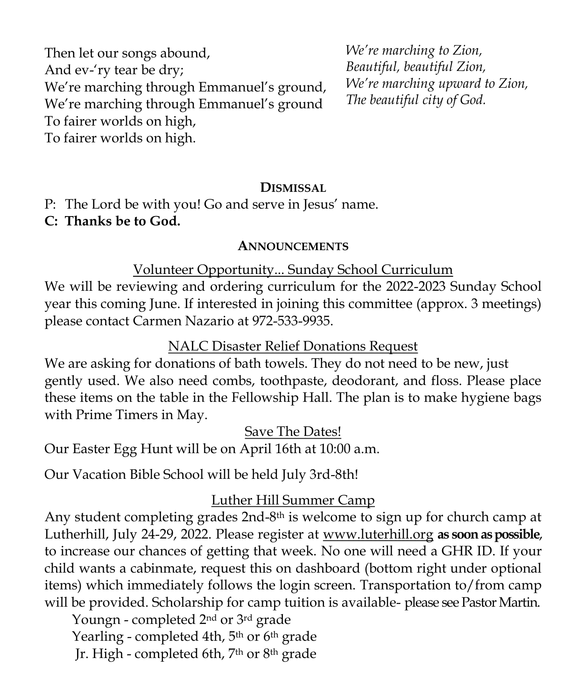Then let our songs abound, And ev-'ry tear be dry; We're marching through Emmanuel's ground, We're marching through Emmanuel's ground To fairer worlds on high, To fairer worlds on high.

*We're marching to Zion, Beautiful, beautiful Zion, We're marching upward to Zion, The beautiful city of God.*

#### **DISMISSAL**

P: The Lord be with you! Go and serve in Jesus' name.

### **C: Thanks be to God.**

#### **ANNOUNCEMENTS**

### Volunteer Opportunity... Sunday School Curriculum

We will be reviewing and ordering curriculum for the 2022-2023 Sunday School year this coming June. If interested in joining this committee (approx. 3 meetings) please contact Carmen Nazario at 972-533-9935.

### NALC Disaster Relief Donations Request

We are asking for donations of bath towels. They do not need to be new, just gently used. We also need combs, toothpaste, deodorant, and floss. Please place these items on the table in the Fellowship Hall. The plan is to make hygiene bags with Prime Timers in May.

Save The Dates!

Our Easter Egg Hunt will be on April 16th at 10:00 a.m.

Our Vacation Bible School will be held July 3rd-8th!

### Luther Hill Summer Camp

Any student completing grades 2nd-8th is welcome to sign up for church camp at Lutherhill, July 24-29, 2022. Please register at [www.luterhill.org](http://www.luterhill.org) **as soon aspossible**, to increase our chances of getting that week. No one will need a GHR ID. If your child wants a cabinmate, request this on dashboard (bottom right under optional items) which immediately follows the login screen. Transportation to/from camp will be provided. Scholarship for camp tuition is available- please see Pastor Martin.

Youngn - completed 2nd or 3rd grade Yearling - completed 4th, 5<sup>th</sup> or 6<sup>th</sup> grade Jr. High - completed 6th, 7th or 8th grade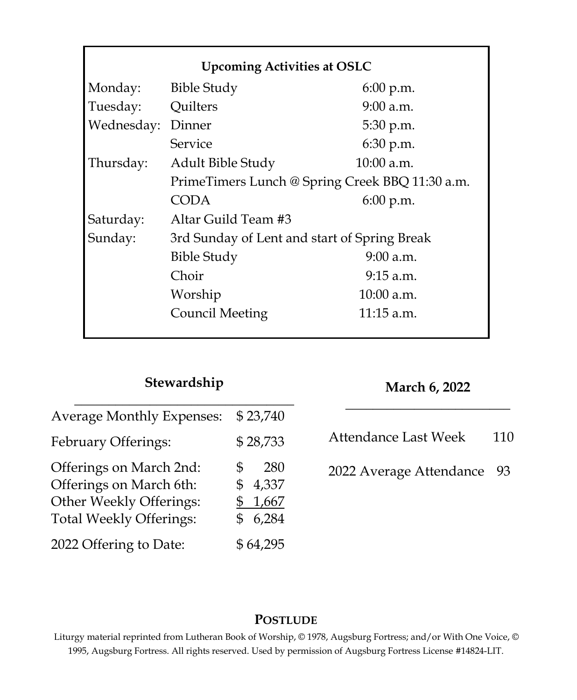|            | <b>Upcoming Activities at OSLC</b>              |              |
|------------|-------------------------------------------------|--------------|
| Monday:    | <b>Bible Study</b>                              | $6:00$ p.m.  |
| Tuesday:   | <b>Quilters</b>                                 | $9:00$ a.m.  |
| Wednesday: | Dinner                                          | 5:30 p.m.    |
|            | Service                                         | 6:30 p.m.    |
| Thursday:  | Adult Bible Study                               | $10:00$ a.m. |
|            | PrimeTimers Lunch @ Spring Creek BBQ 11:30 a.m. |              |
|            | CODA                                            | $6:00$ p.m.  |
| Saturday:  | Altar Guild Team #3                             |              |
| Sunday:    | 3rd Sunday of Lent and start of Spring Break    |              |
|            | <b>Bible Study</b>                              | $9:00$ a.m.  |
|            | Choir                                           | $9:15$ a.m.  |
|            | Worship                                         | $10:00$ a.m. |
|            | <b>Council Meeting</b>                          | $11:15$ a.m. |

## **Stewardship**

| <b>Average Monthly Expenses:</b>                                                                                | \$23,740                                                          |
|-----------------------------------------------------------------------------------------------------------------|-------------------------------------------------------------------|
| February Offerings:                                                                                             | \$28,733                                                          |
| Offerings on March 2nd:<br>Offerings on March 6th:<br>Other Weekly Offerings:<br><b>Total Weekly Offerings:</b> | 280<br>\$.<br>4,337<br>\$<br>\$1,667<br>6,284<br>$\mathfrak{S}^-$ |
| 2022 Offering to Date:                                                                                          | \$64,295                                                          |

**March 6, 2022 \_\_\_\_\_\_\_\_\_\_\_\_\_\_\_\_\_\_\_\_\_\_\_\_**

| Attendance Last Week | 110 |
|----------------------|-----|
|                      |     |

2022 Average Attendance 93

#### **POSTLUDE**

Liturgy material reprinted from Lutheran Book of Worship, © 1978, Augsburg Fortress; and/or With One Voice, © 1995, Augsburg Fortress. All rights reserved. Used by permission of Augsburg Fortress License #14824-LIT.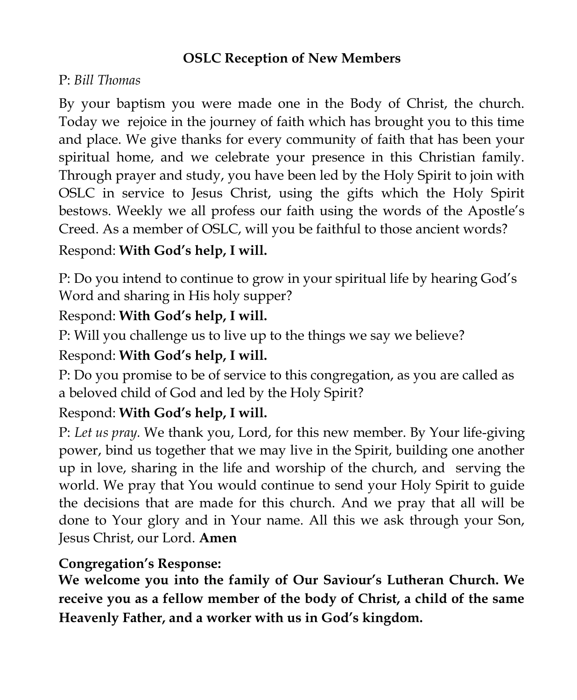### **OSLC Reception of New Members**

### P: *Bill Thomas*

By your baptism you were made one in the Body of Christ, the church. Today we rejoice in the journey of faith which has brought you to this time and place. We give thanks for every community of faith that has been your spiritual home, and we celebrate your presence in this Christian family. Through prayer and study, you have been led by the Holy Spirit to join with OSLC in service to Jesus Christ, using the gifts which the Holy Spirit bestows. Weekly we all profess our faith using the words of the Apostle's Creed. As a member of OSLC, will you be faithful to those ancient words?

# Respond: **With God's help, I will.**

P: Do you intend to continue to grow in your spiritual life by hearing God's Word and sharing in His holy supper?

# Respond: **With God's help, I will.**

P: Will you challenge us to live up to the things we say we believe?

# Respond: **With God's help, I will.**

P: Do you promise to be of service to this congregation, as you are called as a beloved child of God and led by the Holy Spirit?

# Respond: **With God's help, I will.**

P: *Let us pray.* We thank you, Lord, for this new member. By Your life-giving power, bind us together that we may live in the Spirit, building one another up in love, sharing in the life and worship of the church, and serving the world. We pray that You would continue to send your Holy Spirit to guide the decisions that are made for this church. And we pray that all will be done to Your glory and in Your name. All this we ask through your Son, Jesus Christ, our Lord. **Amen** 

### **Congregation's Response:**

**We welcome you into the family of Our Saviour's Lutheran Church. We receive you as a fellow member of the body of Christ, a child of the same Heavenly Father, and a worker with us in God's kingdom.**